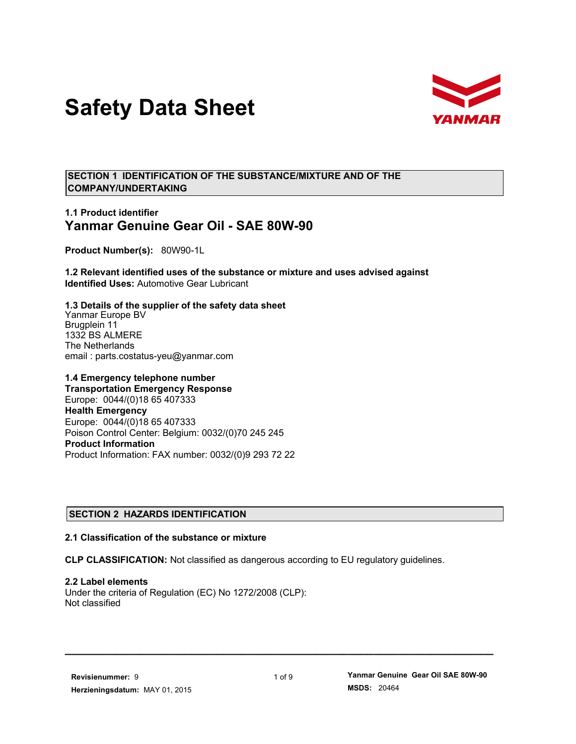# **Safety Data Sheet**



**SECTION 1 IDENTIFICATION OF THE SUBSTANCE/MIXTURE AND OF THE COMPANY/UNDERTAKING**

## **1.1 Product identifier Yanmar Genuine Gear Oil - SAE 80W-90**

**Product Number(s):** 80W90-1L

**1.2 Relevant identified uses of the substance or mixture and uses advised against Identified Uses:** Automotive Gear Lubricant

**1.3 Details of the supplier of the safety data sheet** Yanmar Europe BV Brugplein 11 1332 BS ALMERE The Netherlands email : parts.costatus-yeu@yanmar.com

**1.4 Emergency telephone number Transportation Emergency Response** Europe: 0044/(0)18 65 407333 **Health Emergency** Europe: 0044/(0)18 65 407333 Poison Control Center: Belgium: 0032/(0)70 245 245 **Product Information** Product Information: FAX number: 0032/(0)9 293 72 22

## **SECTION 2 HAZARDS IDENTIFICATION**

#### **2.1 Classification of the substance or mixture**

**CLP CLASSIFICATION:** Not classified as dangerous according to EU regulatory guidelines.

**2.2 Label elements** Under the criteria of Regulation (EC) No 1272/2008 (CLP): Not classified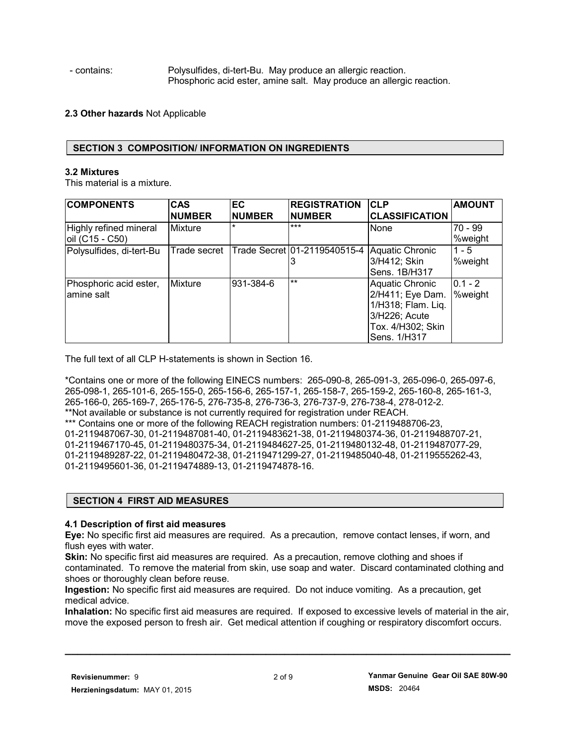- contains: Polysulfides, di-tert-Bu. May produce an allergic reaction. Phosphoric acid ester, amine salt. May produce an allergic reaction.

## **2.3 Other hazards** Not Applicable

## **SECTION 3 COMPOSITION/ INFORMATION ON INGREDIENTS**

### **3.2 Mixtures**

This material is a mixture.

| <b>COMPONENTS</b>                         | <b>CAS</b><br><b>NUMBER</b> | EC<br><b>NUMBER</b> | <b>REGISTRATION</b><br><b>NUMBER</b> | <b>CLP</b><br><b>CLASSIFICATION</b>                                                                                    | <b>AMOUNT</b>        |
|-------------------------------------------|-----------------------------|---------------------|--------------------------------------|------------------------------------------------------------------------------------------------------------------------|----------------------|
| Highly refined mineral<br>oil (C15 - C50) | <b>Mixture</b>              |                     | $***$                                | None                                                                                                                   | 70 - 99<br>%weight   |
| Polysulfides, di-tert-Bu                  | Trade secret                |                     | Trade Secret 01-2119540515-4         | <b>Aquatic Chronic</b><br>3/H412; Skin<br>Sens. 1B/H317                                                                | $1 - 5$<br>%weight   |
| Phosphoric acid ester,<br>lamine salt     | Mixture                     | 931-384-6           | $***$                                | <b>Aquatic Chronic</b><br>2/H411; Eye Dam.<br>1/H318; Flam. Lig.<br>3/H226; Acute<br>Tox. 4/H302; Skin<br>Sens. 1/H317 | $0.1 - 2$<br>%weight |

The full text of all CLP H-statements is shown in Section 16.

\*Contains one or more of the following EINECS numbers: 265-090-8, 265-091-3, 265-096-0, 265-097-6, 265-098-1, 265-101-6, 265-155-0, 265-156-6, 265-157-1, 265-158-7, 265-159-2, 265-160-8, 265-161-3, 265-166-0, 265-169-7, 265-176-5, 276-735-8, 276-736-3, 276-737-9, 276-738-4, 278-012-2. \*\*Not available or substance is not currently required for registration under REACH. \*\*\* Contains one or more of the following REACH registration numbers: 01-2119488706-23, 01-2119487067-30, 01-2119487081-40, 01-2119483621-38, 01-2119480374-36, 01-2119488707-21, 01-2119467170-45, 01-2119480375-34, 01-2119484627-25, 01-2119480132-48, 01-2119487077-29, 01-2119489287-22, 01-2119480472-38, 01-2119471299-27, 01-2119485040-48, 01-2119555262-43, 01-2119495601-36, 01-2119474889-13, 01-2119474878-16.

## **SECTION 4 FIRST AID MEASURES**

## **4.1 Description of first aid measures**

**Eye:** No specific first aid measures are required. As a precaution, remove contact lenses, if worn, and flush eyes with water.

**Skin:** No specific first aid measures are required. As a precaution, remove clothing and shoes if contaminated. To remove the material from skin, use soap and water. Discard contaminated clothing and shoes or thoroughly clean before reuse.

**Ingestion:** No specific first aid measures are required. Do not induce vomiting. As a precaution, get medical advice.

**Inhalation:** No specific first aid measures are required. If exposed to excessive levels of material in the air, move the exposed person to fresh air. Get medical attention if coughing or respiratory discomfort occurs.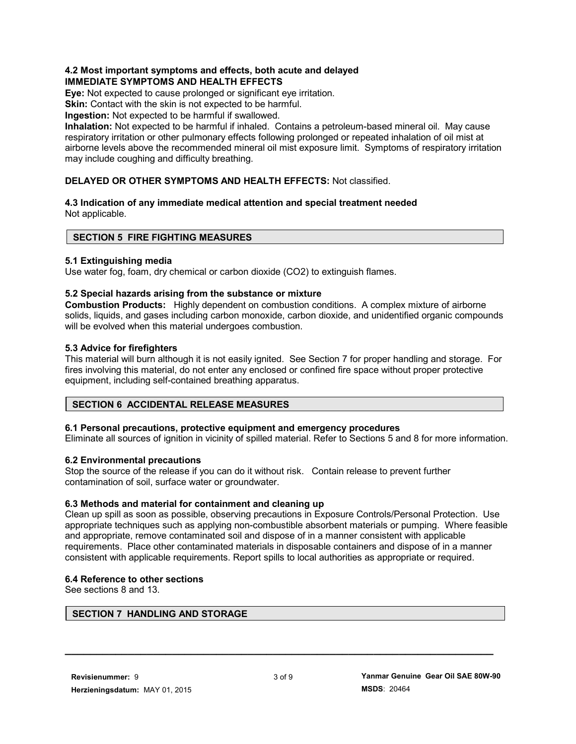## **4.2 Most important symptoms and effects, both acute and delayed IMMEDIATE SYMPTOMS AND HEALTH EFFECTS**

**Eye:** Not expected to cause prolonged or significant eye irritation.

**Skin:** Contact with the skin is not expected to be harmful.

**Ingestion:** Not expected to be harmful if swallowed.

**Inhalation:** Not expected to be harmful if inhaled. Contains a petroleum-based mineral oil. May cause respiratory irritation or other pulmonary effects following prolonged or repeated inhalation of oil mist at airborne levels above the recommended mineral oil mist exposure limit. Symptoms of respiratory irritation may include coughing and difficulty breathing.

## **DELAYED OR OTHER SYMPTOMS AND HEALTH EFFECTS:** Not classified.

#### **4.3 Indication of any immediate medical attention and special treatment needed** Not applicable.

## **SECTION 5 FIRE FIGHTING MEASURES**

## **5.1 Extinguishing media**

Use water fog, foam, dry chemical or carbon dioxide (CO2) to extinguish flames.

## **5.2 Special hazards arising from the substance or mixture**

**Combustion Products:** Highly dependent on combustion conditions. A complex mixture of airborne solids, liquids, and gases including carbon monoxide, carbon dioxide, and unidentified organic compounds will be evolved when this material undergoes combustion.

### **5.3 Advice for firefighters**

This material will burn although it is not easily ignited. See Section 7 for proper handling and storage. For fires involving this material, do not enter any enclosed or confined fire space without proper protective equipment, including self-contained breathing apparatus.

## **SECTION 6 ACCIDENTAL RELEASE MEASURES**

## **6.1 Personal precautions, protective equipment and emergency procedures**

Eliminate all sources of ignition in vicinity of spilled material. Refer to Sections 5 and 8 for more information.

## **6.2 Environmental precautions**

Stop the source of the release if you can do it without risk. Contain release to prevent further contamination of soil, surface water or groundwater.

## **6.3 Methods and material for containment and cleaning up**

Clean up spill as soon as possible, observing precautions in Exposure Controls/Personal Protection. Use appropriate techniques such as applying non-combustible absorbent materials or pumping. Where feasible and appropriate, remove contaminated soil and dispose of in a manner consistent with applicable requirements. Place other contaminated materials in disposable containers and dispose of in a manner consistent with applicable requirements. Report spills to local authorities as appropriate or required.

## **6.4 Reference to other sections**

See sections 8 and 13.

#### **SECTION 7 HANDLING AND STORAGE**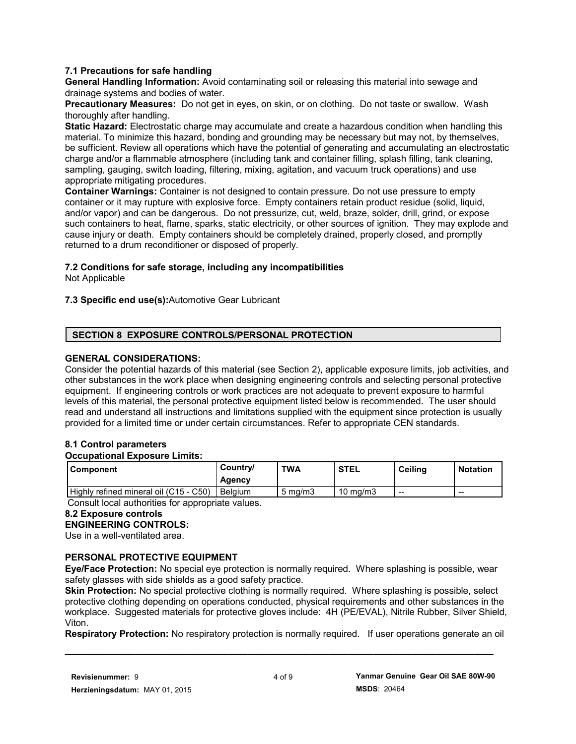## **7.1 Precautions for safe handling**

**General Handling Information:** Avoid contaminating soil or releasing this material into sewage and drainage systems and bodies of water.

**Precautionary Measures:** Do not get in eyes, on skin, or on clothing. Do not taste or swallow. Wash thoroughly after handling.

**Static Hazard:** Electrostatic charge may accumulate and create a hazardous condition when handling this material. To minimize this hazard, bonding and grounding may be necessary but may not, by themselves, be sufficient. Review all operations which have the potential of generating and accumulating an electrostatic charge and/or a flammable atmosphere (including tank and container filling, splash filling, tank cleaning, sampling, gauging, switch loading, filtering, mixing, agitation, and vacuum truck operations) and use appropriate mitigating procedures.

**Container Warnings:** Container is not designed to contain pressure. Do not use pressure to empty container or it may rupture with explosive force. Empty containers retain product residue (solid, liquid, and/or vapor) and can be dangerous. Do not pressurize, cut, weld, braze, solder, drill, grind, or expose such containers to heat, flame, sparks, static electricity, or other sources of ignition. They may explode and cause injury or death. Empty containers should be completely drained, properly closed, and promptly returned to a drum reconditioner or disposed of properly.

### **7.2 Conditions for safe storage, including any incompatibilities**

Not Applicable

## **7.3 Specific end use(s):**Automotive Gear Lubricant

### **SECTION 8 EXPOSURE CONTROLS/PERSONAL PROTECTION**

### **GENERAL CONSIDERATIONS:**

Consider the potential hazards of this material (see Section 2), applicable exposure limits, job activities, and other substances in the work place when designing engineering controls and selecting personal protective equipment. If engineering controls or work practices are not adequate to prevent exposure to harmful levels of this material, the personal protective equipment listed below is recommended. The user should read and understand all instructions and limitations supplied with the equipment since protection is usually provided for a limited time or under certain circumstances. Refer to appropriate CEN standards.

## **8.1 Control parameters**

#### **Occupational Exposure Limits:**

| <b>Component</b>                       | Country/<br>Agency | <b>TWA</b>       | <b>STEL</b>       | <b>Ceiling</b> | <b>Notation</b> |
|----------------------------------------|--------------------|------------------|-------------------|----------------|-----------------|
| Highly refined mineral oil (C15 - C50) | <b>Belgium</b>     | $5 \text{ ma/m}$ | $10 \text{ ma/m}$ | --             | $- -$           |

Consult local authorities for appropriate values.

#### **8.2 Exposure controls**

**ENGINEERING CONTROLS:**

Use in a well-ventilated area.

## **PERSONAL PROTECTIVE EQUIPMENT**

**Eye/Face Protection:** No special eye protection is normally required. Where splashing is possible, wear safety glasses with side shields as a good safety practice.

**Skin Protection:** No special protective clothing is normally required. Where splashing is possible, select protective clothing depending on operations conducted, physical requirements and other substances in the workplace. Suggested materials for protective gloves include: 4H (PE/EVAL), Nitrile Rubber, Silver Shield, Viton.

**Respiratory Protection:** No respiratory protection is normally required. If user operations generate an oil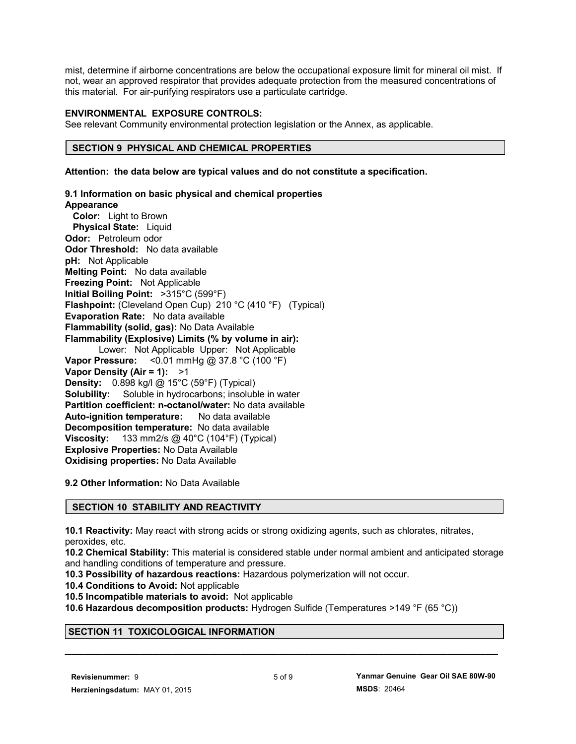mist, determine if airborne concentrations are below the occupational exposure limit for mineral oil mist. If not, wear an approved respirator that provides adequate protection from the measured concentrations of this material. For air-purifying respirators use a particulate cartridge.

## **ENVIRONMENTAL EXPOSURE CONTROLS:**

See relevant Community environmental protection legislation or the Annex, as applicable.

### **SECTION 9 PHYSICAL AND CHEMICAL PROPERTIES**

**Attention: the data below are typical values and do not constitute a specification.**

**9.1 Information on basic physical and chemical properties Appearance Color:** Light to Brown  **Physical State:** Liquid **Odor:** Petroleum odor **Odor Threshold:** No data available **pH:** Not Applicable **Melting Point:** No data available **Freezing Point:** Not Applicable **Initial Boiling Point:** >315°C (599°F) **Flashpoint:** (Cleveland Open Cup) 210 °C (410 °F) (Typical) **Evaporation Rate:** No data available **Flammability (solid, gas):** No Data Available **Flammability (Explosive) Limits (% by volume in air):** Lower: Not Applicable Upper: Not Applicable **Vapor Pressure:** <0.01 mmHg @ 37.8 °C (100 °F) **Vapor Density (Air = 1):** >1

**9.2 Other Information:** No Data Available

**Explosive Properties:** No Data Available **Oxidising properties:** No Data Available

**Density:** 0.898 kg/l @ 15°C (59°F) (Typical)

**Auto-ignition temperature:** No data available **Decomposition temperature:** No data available **Viscosity:** 133 mm2/s @ 40°C (104°F) (Typical)

**Solubility:** Soluble in hydrocarbons; insoluble in water **Partition coefficient: n-octanol/water:** No data available

## **SECTION 10 STABILITY AND REACTIVITY**

**10.1 Reactivity:** May react with strong acids or strong oxidizing agents, such as chlorates, nitrates, peroxides, etc.

**10.2 Chemical Stability:** This material is considered stable under normal ambient and anticipated storage and handling conditions of temperature and pressure.

**10.3 Possibility of hazardous reactions:** Hazardous polymerization will not occur.

**10.4 Conditions to Avoid:** Not applicable

**10.5 Incompatible materials to avoid:** Not applicable

**10.6 Hazardous decomposition products:** Hydrogen Sulfide (Temperatures >149 °F (65 °C))

## **SECTION 11 TOXICOLOGICAL INFORMATION**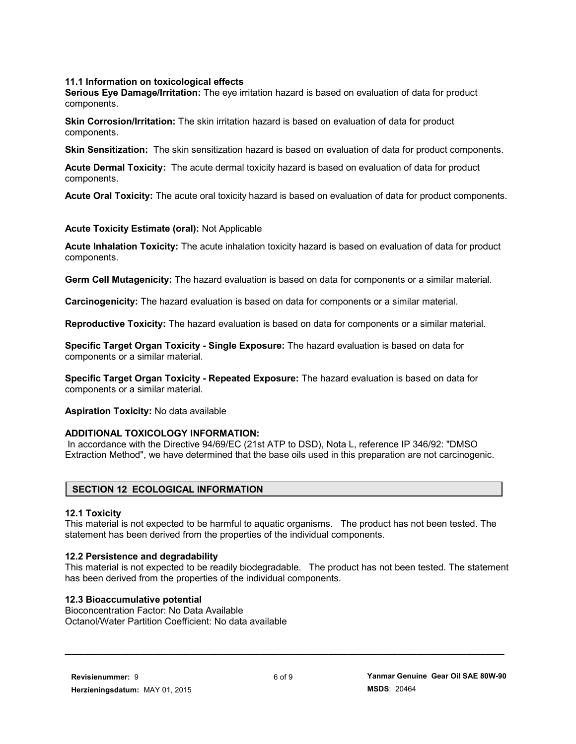## **11.1 Information on toxicological effects**

**Serious Eye Damage/Irritation:** The eye irritation hazard is based on evaluation of data for product components.

**Skin Corrosion/Irritation:** The skin irritation hazard is based on evaluation of data for product components.

**Skin Sensitization:** The skin sensitization hazard is based on evaluation of data for product components.

**Acute Dermal Toxicity:** The acute dermal toxicity hazard is based on evaluation of data for product components.

**Acute Oral Toxicity:** The acute oral toxicity hazard is based on evaluation of data for product components.

### **Acute Toxicity Estimate (oral):** Not Applicable

**Acute Inhalation Toxicity:** The acute inhalation toxicity hazard is based on evaluation of data for product components.

**Germ Cell Mutagenicity:** The hazard evaluation is based on data for components or a similar material.

**Carcinogenicity:** The hazard evaluation is based on data for components or a similar material.

**Reproductive Toxicity:** The hazard evaluation is based on data for components or a similar material.

**Specific Target Organ Toxicity - Single Exposure:** The hazard evaluation is based on data for components or a similar material.

**Specific Target Organ Toxicity - Repeated Exposure:** The hazard evaluation is based on data for components or a similar material.

**Aspiration Toxicity:** No data available

#### **ADDITIONAL TOXICOLOGY INFORMATION:**

 In accordance with the Directive 94/69/EC (21st ATP to DSD), Nota L, reference IP 346/92: "DMSO Extraction Method", we have determined that the base oils used in this preparation are not carcinogenic.

#### **SECTION 12 ECOLOGICAL INFORMATION**

#### **12.1 Toxicity**

This material is not expected to be harmful to aquatic organisms. The product has not been tested. The statement has been derived from the properties of the individual components.

#### **12.2 Persistence and degradability**

This material is not expected to be readily biodegradable. The product has not been tested. The statement has been derived from the properties of the individual components.

#### **12.3 Bioaccumulative potential**

Bioconcentration Factor: No Data Available Octanol/Water Partition Coefficient: No data available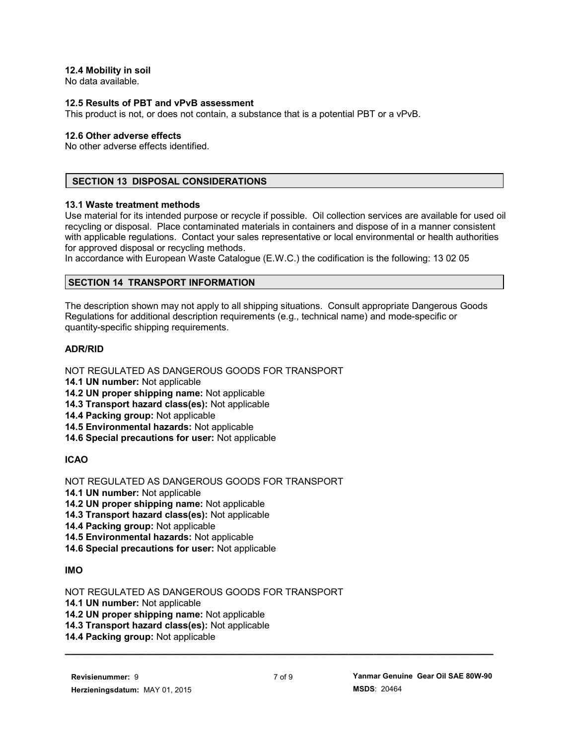## **12.4 Mobility in soil**

No data available.

#### **12.5 Results of PBT and vPvB assessment**

This product is not, or does not contain, a substance that is a potential PBT or a vPvB.

#### **12.6 Other adverse effects**

No other adverse effects identified.

## **SECTION 13 DISPOSAL CONSIDERATIONS**

#### **13.1 Waste treatment methods**

Use material for its intended purpose or recycle if possible. Oil collection services are available for used oil recycling or disposal. Place contaminated materials in containers and dispose of in a manner consistent with applicable regulations. Contact your sales representative or local environmental or health authorities for approved disposal or recycling methods.

In accordance with European Waste Catalogue (E.W.C.) the codification is the following: 13 02 05

### **SECTION 14 TRANSPORT INFORMATION**

The description shown may not apply to all shipping situations. Consult appropriate Dangerous Goods Regulations for additional description requirements (e.g., technical name) and mode-specific or quantity-specific shipping requirements.

## **ADR/RID**

NOT REGULATED AS DANGEROUS GOODS FOR TRANSPORT

**14.1 UN number:** Not applicable

**14.2 UN proper shipping name:** Not applicable

**14.3 Transport hazard class(es):** Not applicable

**14.4 Packing group:** Not applicable

**14.5 Environmental hazards:** Not applicable

**14.6 Special precautions for user:** Not applicable

## **ICAO**

NOT REGULATED AS DANGEROUS GOODS FOR TRANSPORT

**14.1 UN number:** Not applicable

**14.2 UN proper shipping name:** Not applicable

**14.3 Transport hazard class(es):** Not applicable

**14.4 Packing group:** Not applicable

**14.5 Environmental hazards:** Not applicable

**14.6 Special precautions for user:** Not applicable

## **IMO**

NOT REGULATED AS DANGEROUS GOODS FOR TRANSPORT

**14.1 UN number:** Not applicable

**14.2 UN proper shipping name:** Not applicable

**14.3 Transport hazard class(es):** Not applicable

**14.4 Packing group:** Not applicable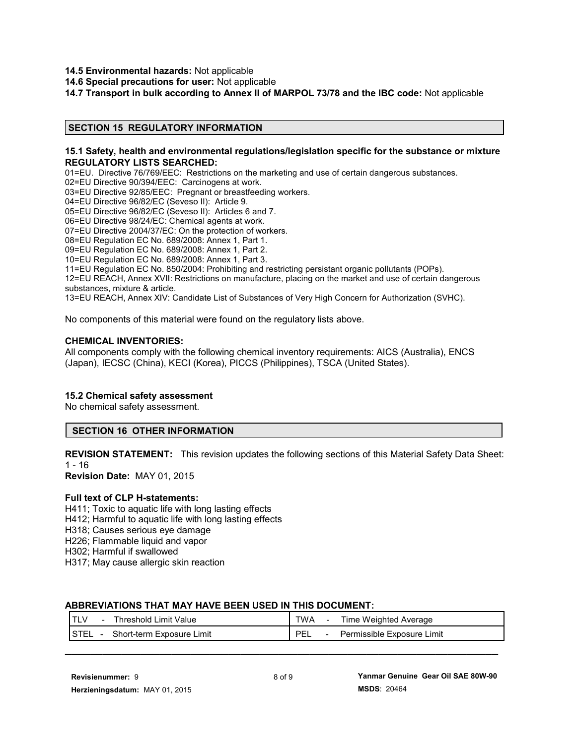- **14.5 Environmental hazards:** Not applicable
- **14.6 Special precautions for user:** Not applicable

**14.7 Transport in bulk according to Annex II of MARPOL 73/78 and the IBC code:** Not applicable

#### **SECTION 15 REGULATORY INFORMATION**

#### **15.1 Safety, health and environmental regulations/legislation specific for the substance or mixture REGULATORY LISTS SEARCHED:**

01=EU. Directive 76/769/EEC: Restrictions on the marketing and use of certain dangerous substances.

02=EU Directive 90/394/EEC: Carcinogens at work.

03=EU Directive 92/85/EEC: Pregnant or breastfeeding workers.

04=EU Directive 96/82/EC (Seveso II): Article 9.

05=EU Directive 96/82/EC (Seveso II): Articles 6 and 7.

06=EU Directive 98/24/EC: Chemical agents at work.

07=EU Directive 2004/37/EC: On the protection of workers.

08=EU Regulation EC No. 689/2008: Annex 1, Part 1.

09=EU Regulation EC No. 689/2008: Annex 1, Part 2.

10=EU Regulation EC No. 689/2008: Annex 1, Part 3.

11=EU Regulation EC No. 850/2004: Prohibiting and restricting persistant organic pollutants (POPs).

12=EU REACH, Annex XVII: Restrictions on manufacture, placing on the market and use of certain dangerous substances, mixture & article.

13=EU REACH, Annex XIV: Candidate List of Substances of Very High Concern for Authorization (SVHC).

No components of this material were found on the regulatory lists above.

#### **CHEMICAL INVENTORIES:**

All components comply with the following chemical inventory requirements: AICS (Australia), ENCS (Japan), IECSC (China), KECI (Korea), PICCS (Philippines), TSCA (United States).

#### **15.2 Chemical safety assessment**

No chemical safety assessment.

#### **SECTION 16 OTHER INFORMATION**

**REVISION STATEMENT:** This revision updates the following sections of this Material Safety Data Sheet:  $1 - 16$ 

**Revision Date:** MAY 01, 2015

#### **Full text of CLP H-statements:**

H411; Toxic to aquatic life with long lasting effects

H412; Harmful to aquatic life with long lasting effects

H318; Causes serious eye damage

H226; Flammable liquid and vapor

H302; Harmful if swallowed

H317; May cause allergic skin reaction

#### **ABBREVIATIONS THAT MAY HAVE BEEN USED IN THIS DOCUMENT:**

| <b>TLV</b>                | TWA                        |
|---------------------------|----------------------------|
| Threshold Limit Value     | Time Weighted Average      |
| $\blacksquare$            | $\overline{\phantom{0}}$   |
| <b>I</b> STEL             | PEL                        |
| Short-term Exposure Limit | Permissible Exposure Limit |
| $\sim$                    | $\overline{\phantom{a}}$   |
|                           |                            |